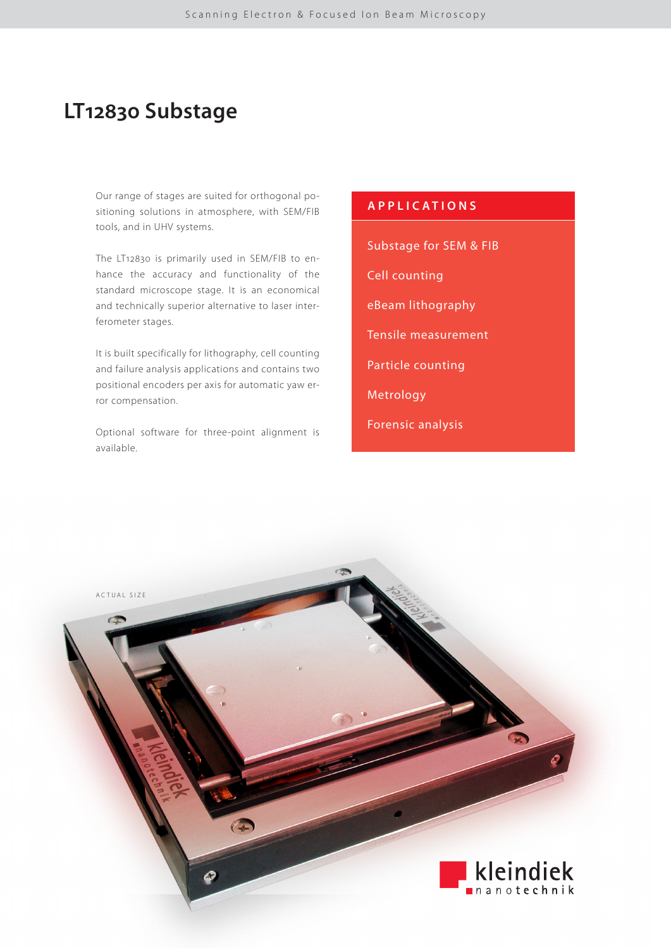# **LT12830 Substage**

Our range of stages are suited for orthogonal positioning solutions in atmosphere, with SEM/FIB tools, and in UHV systems.

The LT12830 is primarily used in SEM/FIB to enhance the accuracy and functionality of the standard microscope stage. It is an economical and technically superior alternative to laser interferometer stages.

It is built specifically for lithography, cell counting and failure analysis applications and contains two positional encoders per axis for automatic yaw error compensation.

Optional software for three-point alignment is available.

## **APPLICATIONS**

Substage for SEM & FIB

Cell counting

eBeam lithography

Tensile measurement

Particle counting

Metrology

Forensic analysis